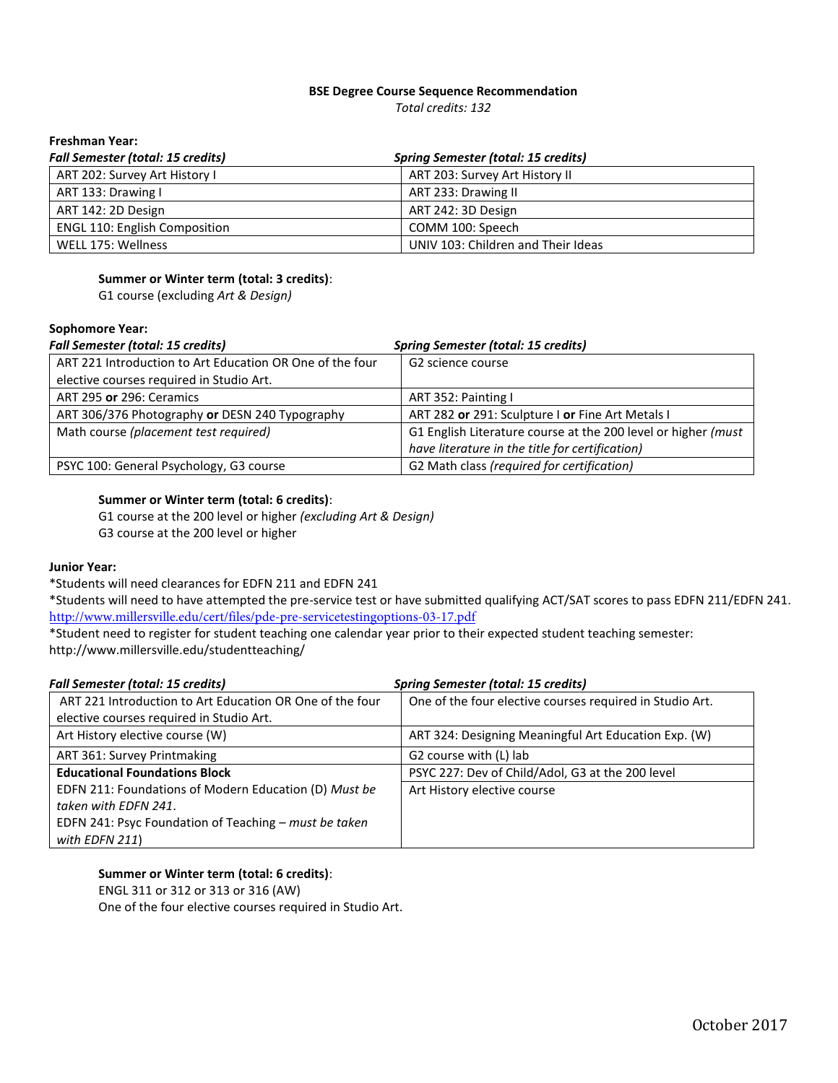## **BSE Degree Course Sequence Recommendation**

*Total credits: 132* 

## **Freshman Year:**

| <b>Fall Semester (total: 15 credits)</b> | <b>Spring Semester (total: 15 credits)</b> |
|------------------------------------------|--------------------------------------------|
| ART 202: Survey Art History I            | ART 203: Survey Art History II             |
| ART 133: Drawing I                       | ART 233: Drawing II                        |
| ART 142: 2D Design                       | ART 242: 3D Design                         |
| <b>ENGL 110: English Composition</b>     | COMM 100: Speech                           |
| WELL 175: Wellness                       | UNIV 103: Children and Their Ideas         |

## **Summer or Winter term (total: 3 credits)**:

G1 course (excluding *Art & Design)* 

#### **Sophomore Year:**

| <b>Fall Semester (total: 15 credits)</b>                 | <b>Spring Semester (total: 15 credits)</b>                    |
|----------------------------------------------------------|---------------------------------------------------------------|
| ART 221 Introduction to Art Education OR One of the four | G2 science course                                             |
| elective courses required in Studio Art.                 |                                                               |
| ART 295 or 296: Ceramics                                 | ART 352: Painting I                                           |
| ART 306/376 Photography or DESN 240 Typography           | ART 282 or 291: Sculpture I or Fine Art Metals I              |
| Math course (placement test required)                    | G1 English Literature course at the 200 level or higher (must |
|                                                          | have literature in the title for certification)               |
| PSYC 100: General Psychology, G3 course                  | G2 Math class (required for certification)                    |

#### **Summer or Winter term (total: 6 credits)**:

G1 course at the 200 level or higher *(excluding Art & Design)*  G3 course at the 200 level or higher

#### **Junior Year:**

\*Students will need clearances for EDFN 211 and EDFN 241

\*Students will need to have attempted the pre-service test or have submitted qualifying ACT/SAT scores to pass EDFN 211/EDFN 241. <http://www.millersville.edu/cert/files/pde-pre-servicetestingoptions-03-17.pdf>

\*Student need to register for student teaching one calendar year prior to their expected student teaching semester: http://www.millersville.edu/studentteaching/

| <b>Fall Semester (total: 15 credits)</b>                 | <b>Spring Semester (total: 15 credits)</b>               |
|----------------------------------------------------------|----------------------------------------------------------|
| ART 221 Introduction to Art Education OR One of the four | One of the four elective courses required in Studio Art. |
| elective courses required in Studio Art.                 |                                                          |
| Art History elective course (W)                          | ART 324: Designing Meaningful Art Education Exp. (W)     |
| ART 361: Survey Printmaking                              | G2 course with (L) lab                                   |
| <b>Educational Foundations Block</b>                     | PSYC 227: Dev of Child/Adol, G3 at the 200 level         |
| EDFN 211: Foundations of Modern Education (D) Must be    | Art History elective course                              |
| taken with EDFN 241.                                     |                                                          |
| EDFN 241: Psyc Foundation of Teaching - must be taken    |                                                          |
| with EDFN 211)                                           |                                                          |

#### **Summer or Winter term (total: 6 credits)**:

ENGL 311 or 312 or 313 or 316 (AW)

One of the four elective courses required in Studio Art.